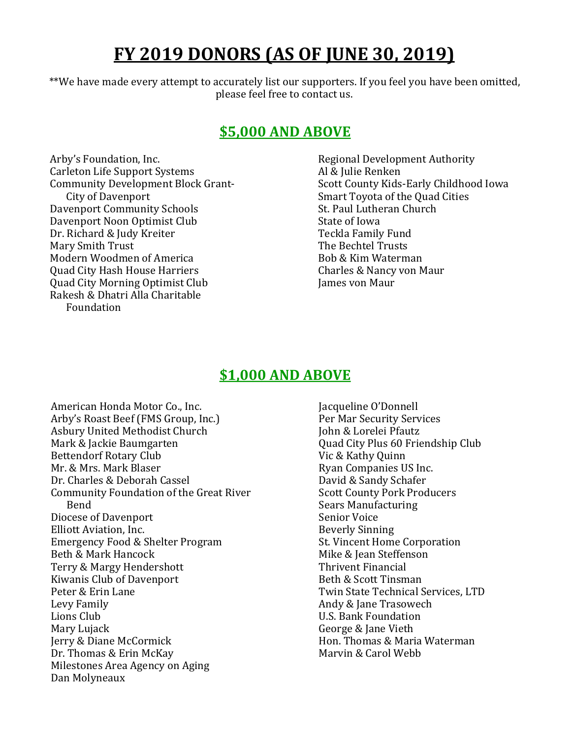# **FY 2019 DONORS (AS OF JUNE 30, 2019)**

\*\*We have made every attempt to accurately list our supporters. If you feel you have been omitted, please feel free to contact us.

# **\$5,000 AND ABOVE**

Arby's Foundation, Inc. Carleton Life Support Systems Community Development Block Grant-City of Davenport Davenport Community Schools Davenport Noon Optimist Club Dr. Richard & Judy Kreiter Mary Smith Trust Modern Woodmen of America Quad City Hash House Harriers Quad City Morning Optimist Club Rakesh & Dhatri Alla Charitable Foundation

Regional Development Authority Al & Julie Renken Scott County Kids-Early Childhood Iowa Smart Toyota of the Quad Cities St. Paul Lutheran Church State of Iowa Teckla Family Fund The Bechtel Trusts Bob & Kim Waterman Charles & Nancy von Maur James von Maur

# **\$1,000 AND ABOVE**

American Honda Motor Co., Inc. Arby's Roast Beef (FMS Group, Inc.) Asbury United Methodist Church Mark & Jackie Baumgarten Bettendorf Rotary Club Mr. & Mrs. Mark Blaser Dr. Charles & Deborah Cassel Community Foundation of the Great River Bend Diocese of Davenport Elliott Aviation, Inc. Emergency Food & Shelter Program Beth & Mark Hancock Terry & Margy Hendershott Kiwanis Club of Davenport Peter & Erin Lane Levy Family Lions Club Mary Lujack Jerry & Diane McCormick Dr. Thomas & Erin McKay Milestones Area Agency on Aging Dan Molyneaux

Jacqueline O'Donnell Per Mar Security Services John & Lorelei Pfautz Quad City Plus 60 Friendship Club Vic & Kathy Quinn Ryan Companies US Inc. David & Sandy Schafer Scott County Pork Producers Sears Manufacturing Senior Voice Beverly Sinning St. Vincent Home Corporation Mike & Jean Steffenson Thrivent Financial Beth & Scott Tinsman Twin State Technical Services, LTD Andy & Jane Trasowech U.S. Bank Foundation George & Jane Vieth Hon. Thomas & Maria Waterman Marvin & Carol Webb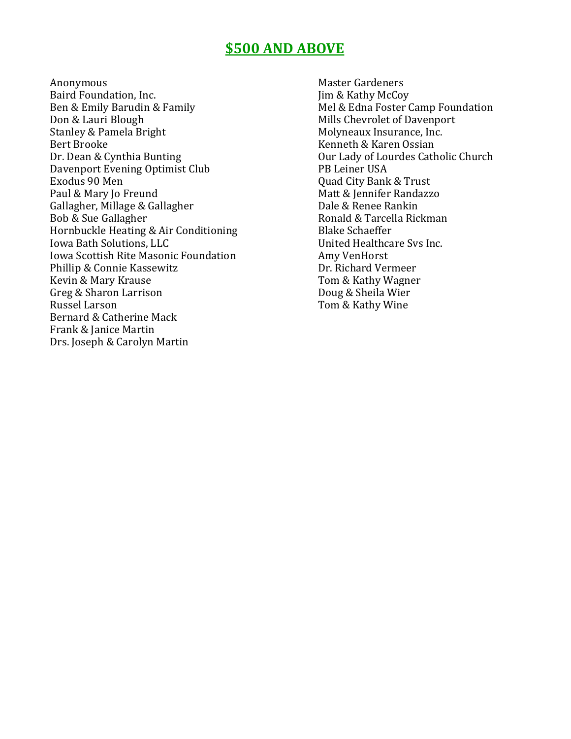## **\$500 AND ABOVE**

Anonymous Baird Foundation, Inc. Ben & Emily Barudin & Family Don & Lauri Blough Stanley & Pamela Bright Bert Brooke Dr. Dean & Cynthia Bunting Davenport Evening Optimist Club Exodus 90 Men Paul & Mary Jo Freund Gallagher, Millage & Gallagher Bob & Sue Gallagher Hornbuckle Heating & Air Conditioning Iowa Bath Solutions, LLC Iowa Scottish Rite Masonic Foundation Phillip & Connie Kassewitz Kevin & Mary Krause Greg & Sharon Larrison Russel Larson Bernard & Catherine Mack Frank & Janice Martin Drs. Joseph & Carolyn Martin

Master Gardeners Jim & Kathy McCoy Mel & Edna Foster Camp Foundation Mills Chevrolet of Davenport Molyneaux Insurance, Inc. Kenneth & Karen Ossian Our Lady of Lourdes Catholic Church PB Leiner USA Quad City Bank & Trust Matt & Jennifer Randazzo Dale & Renee Rankin Ronald & Tarcella Rickman Blake Schaeffer United Healthcare Svs Inc. Amy VenHorst Dr. Richard Vermeer Tom & Kathy Wagner Doug & Sheila Wier Tom & Kathy Wine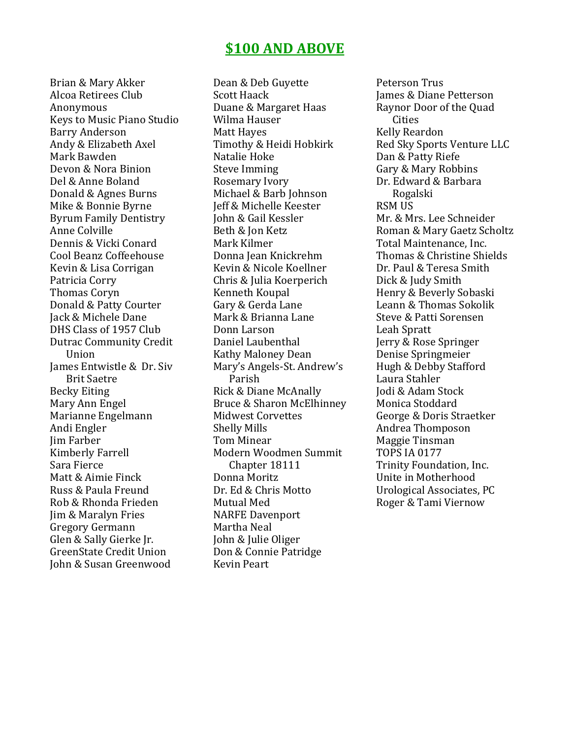## **\$100 AND ABOVE**

Brian & Mary Akker Alcoa Retirees Club Anonymous Keys to Music Piano Studio Barry Anderson Andy & Elizabeth Axel Mark Bawden Devon & Nora Binion Del & Anne Boland Donald & Agnes Burns Mike & Bonnie Byrne Byrum Family Dentistry Anne Colville Dennis & Vicki Conard Cool Beanz Coffeehouse Kevin & Lisa Corrigan Patricia Corry Thomas Coryn Donald & Patty Courter Jack & Michele Dane DHS Class of 1957 Club Dutrac Community Credit Union James Entwistle & Dr. Siv Brit Saetre Becky Eiting Mary Ann Engel Marianne Engelmann Andi Engler Jim Farber Kimberly Farrell Sara Fierce Matt & Aimie Finck Russ & Paula Freund Rob & Rhonda Frieden Jim & Maralyn Fries Gregory Germann Glen & Sally Gierke Jr. GreenState Credit Union John & Susan Greenwood

Dean & Deb Guyette Scott Haack Duane & Margaret Haas Wilma Hauser Matt Hayes Timothy & Heidi Hobkirk Natalie Hoke Steve Imming Rosemary Ivory Michael & Barb Johnson Jeff & Michelle Keester John & Gail Kessler Beth & Jon Ketz Mark Kilmer Donna Jean Knickrehm Kevin & Nicole Koellner Chris & Julia Koerperich Kenneth Koupal Gary & Gerda Lane Mark & Brianna Lane Donn Larson Daniel Laubenthal Kathy Maloney Dean Mary's Angels-St. Andrew's Parish Rick & Diane McAnally Bruce & Sharon McElhinney Midwest Corvettes Shelly Mills Tom Minear Modern Woodmen Summit Chapter 18111 Donna Moritz Dr. Ed & Chris Motto Mutual Med NARFE Davenport Martha Neal John & Julie Oliger Don & Connie Patridge Kevin Peart

Peterson Trus James & Diane Petterson Raynor Door of the Quad Cities Kelly Reardon Red Sky Sports Venture LLC Dan & Patty Riefe Gary & Mary Robbins Dr. Edward & Barbara Rogalski RSM US Mr. & Mrs. Lee Schneider Roman & Mary Gaetz Scholtz Total Maintenance, Inc. Thomas & Christine Shields Dr. Paul & Teresa Smith Dick & Judy Smith Henry & Beverly Sobaski Leann & Thomas Sokolik Steve & Patti Sorensen Leah Spratt Jerry & Rose Springer Denise Springmeier Hugh & Debby Stafford Laura Stahler Jodi & Adam Stock Monica Stoddard George & Doris Straetker Andrea Thomposon Maggie Tinsman TOPS IA 0177 Trinity Foundation, Inc. Unite in Motherhood Urological Associates, PC Roger & Tami Viernow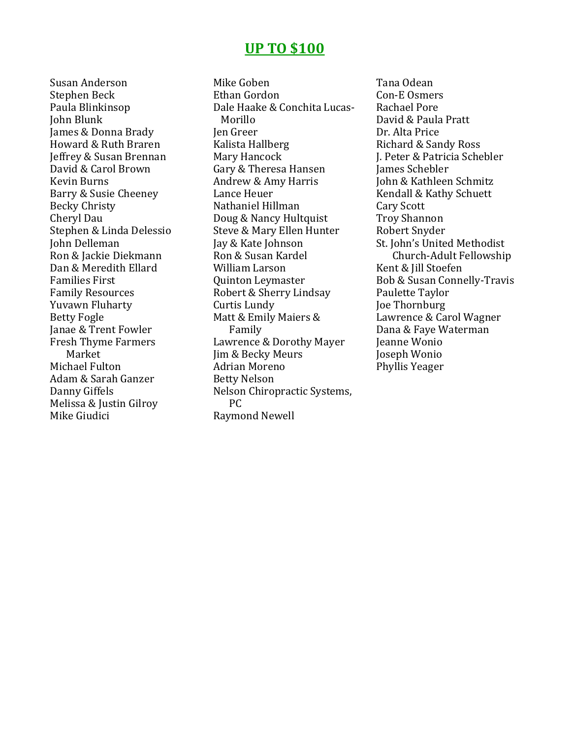### **UP TO \$100**

Susan Anderson Stephen Beck Paula Blinkinsop John Blunk James & Donna Brady Howard & Ruth Braren Jeffrey & Susan Brennan David & Carol Brown Kevin Burns Barry & Susie Cheeney Becky Christy Cheryl Dau Stephen & Linda Delessio John Delleman Ron & Jackie Diekmann Dan & Meredith Ellard Families First Family Resources Yuvawn Fluharty Betty Fogle Janae & Trent Fowler Fresh Thyme Farmers Market Michael Fulton Adam & Sarah Ganzer Danny Giffels Melissa & Justin Gilroy Mike Giudici

Mike Goben Ethan Gordon Dale Haake & Conchita Lucas-Morillo Jen Greer Kalista Hallberg Mary Hancock Gary & Theresa Hansen Andrew & Amy Harris Lance Heuer Nathaniel Hillman Doug & Nancy Hultquist Steve & Mary Ellen Hunter Jay & Kate Johnson Ron & Susan Kardel William Larson Quinton Leymaster Robert & Sherry Lindsay Curtis Lundy Matt & Emily Maiers & Family Lawrence & Dorothy Mayer Jim & Becky Meurs Adrian Moreno Betty Nelson Nelson Chiropractic Systems, PC Raymond Newell

Tana Odean Con-E Osmers Rachael Pore David & Paula Pratt Dr. Alta Price Richard & Sandy Ross J. Peter & Patricia Schebler James Schebler John & Kathleen Schmitz Kendall & Kathy Schuett Cary Scott Troy Shannon Robert Snyder St. John's United Methodist Church-Adult Fellowship Kent & Jill Stoefen Bob & Susan Connelly-Travis Paulette Taylor Joe Thornburg Lawrence & Carol Wagner Dana & Faye Waterman Jeanne Wonio Joseph Wonio Phyllis Yeager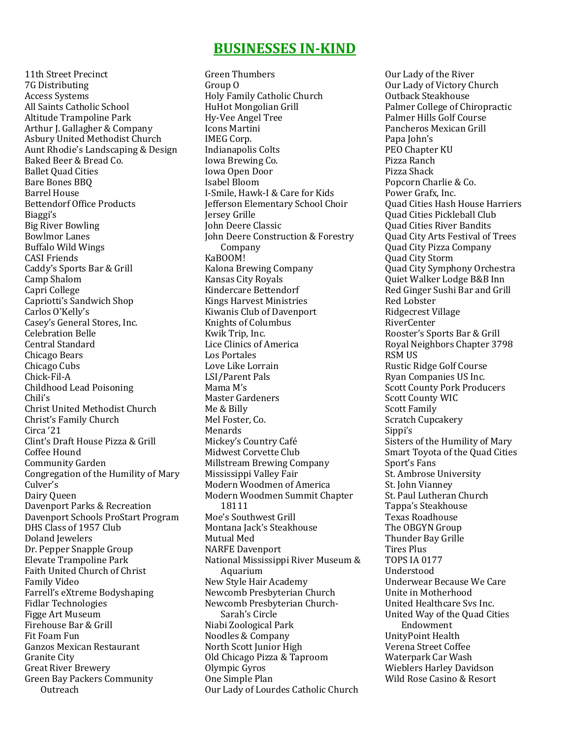### **BUSINESSES IN-KIND**

11th Street Precinct 7G Distributing Access Systems All Saints Catholic School Altitude Trampoline Park Arthur J. Gallagher & Company Asbury United Methodist Church Aunt Rhodie's Landscaping & Design Baked Beer & Bread Co. Ballet Quad Cities Bare Bones BBQ Barrel House Bettendorf Office Products Biaggi's Big River Bowling Bowlmor Lanes Buffalo Wild Wings CASI Friends Caddy's Sports Bar & Grill Camp Shalom Capri College Capriotti's Sandwich Shop Carlos O'Kelly's Casey's General Stores, Inc. Celebration Belle Central Standard Chicago Bears Chicago Cubs Chick-Fil-A Childhood Lead Poisoning Chili's Christ United Methodist Church Christ's Family Church Circa '21 Clint's Draft House Pizza & Grill Coffee Hound Community Garden Congregation of the Humility of Mary Culver's Dairy Queen Davenport Parks & Recreation Davenport Schools ProStart Program DHS Class of 1957 Club Doland Jewelers Dr. Pepper Snapple Group Elevate Trampoline Park Faith United Church of Christ Family Video Farrell's eXtreme Bodyshaping Fidlar Technologies Figge Art Museum Firehouse Bar & Grill Fit Foam Fun Ganzos Mexican Restaurant Granite City Great River Brewery Green Bay Packers Community Outreach

Green Thumbers Group O Holy Family Catholic Church HuHot Mongolian Grill Hy-Vee Angel Tree Icons Martini IMEG Corp. Indianapolis Colts Iowa Brewing Co. Iowa Open Door Isabel Bloom I-Smile, Hawk-I & Care for Kids Jefferson Elementary School Choir Jersey Grille John Deere Classic John Deere Construction & Forestry Company KaBOOM! Kalona Brewing Company Kansas City Royals Kindercare Bettendorf Kings Harvest Ministries Kiwanis Club of Davenport Knights of Columbus Kwik Trip, Inc. Lice Clinics of America Los Portales Love Like Lorrain LSI/Parent Pals Mama M's Master Gardeners Me & Billy Mel Foster, Co. Menards Mickey's Country Cafe Midwest Corvette Club Millstream Brewing Company Mississippi Valley Fair Modern Woodmen of America Modern Woodmen Summit Chapter 18111 Moe's Southwest Grill Montana Jack's Steakhouse Mutual Med NARFE Davenport National Mississippi River Museum & Aquarium New Style Hair Academy Newcomb Presbyterian Church Newcomb Presbyterian Church-Sarah's Circle Niabi Zoological Park Noodles & Company North Scott Junior High Old Chicago Pizza & Taproom Olympic Gyros One Simple Plan Our Lady of Lourdes Catholic Church

Our Lady of the River Our Lady of Victory Church Outback Steakhouse Palmer College of Chiropractic Palmer Hills Golf Course Pancheros Mexican Grill Papa John's PEO Chapter KU Pizza Ranch Pizza Shack Popcorn Charlie & Co. Power Grafx, Inc. Quad Cities Hash House Harriers Quad Cities Pickleball Club Quad Cities River Bandits Quad City Arts Festival of Trees Quad City Pizza Company Quad City Storm Quad City Symphony Orchestra Quiet Walker Lodge B&B Inn Red Ginger Sushi Bar and Grill Red Lobster Ridgecrest Village RiverCenter Rooster's Sports Bar & Grill Royal Neighbors Chapter 3798 RSM US Rustic Ridge Golf Course Ryan Companies US Inc. Scott County Pork Producers Scott County WIC Scott Family Scratch Cupcakery Sippi's Sisters of the Humility of Mary Smart Toyota of the Quad Cities Sport's Fans St. Ambrose University St. John Vianney St. Paul Lutheran Church Tappa's Steakhouse Texas Roadhouse The OBGYN Group Thunder Bay Grille Tires Plus TOPS IA 0177 Understood Underwear Because We Care Unite in Motherhood United Healthcare Svs Inc. United Way of the Quad Cities Endowment UnityPoint Health Verena Street Coffee Waterpark Car Wash Wieblers Harley Davidson Wild Rose Casino & Resort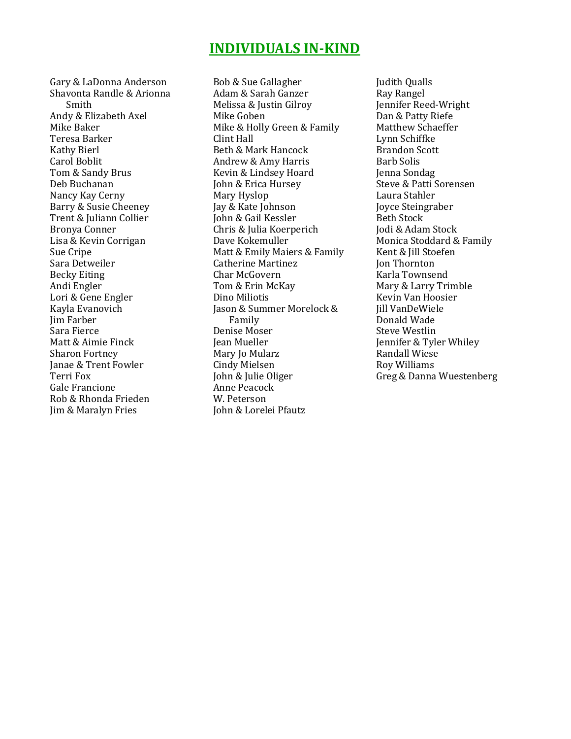# **INDIVIDUALS IN-KIND**

Gary & LaDonna Anderson Shavonta Randle & Arionna Smith Andy & Elizabeth Axel Mike Baker Teresa Barker Kathy Bierl Carol Boblit Tom & Sandy Brus Deb Buchanan Nancy Kay Cerny Barry & Susie Cheeney Trent & Juliann Collier Bronya Conner Lisa & Kevin Corrigan Sue Cripe Sara Detweiler Becky Eiting Andi Engler Lori & Gene Engler Kayla Evanovich Jim Farber Sara Fierce Matt & Aimie Finck Sharon Fortney Janae & Trent Fowler Terri Fox Gale Francione Rob & Rhonda Frieden Jim & Maralyn Fries

Bob & Sue Gallagher Adam & Sarah Ganzer Melissa & Justin Gilroy Mike Goben Mike & Holly Green & Family Clint Hall Beth & Mark Hancock Andrew & Amy Harris Kevin & Lindsey Hoard John & Erica Hursey Mary Hyslop Jay & Kate Johnson John & Gail Kessler Chris & Julia Koerperich Dave Kokemuller Matt & Emily Maiers & Family Catherine Martinez Char McGovern Tom & Erin McKay Dino Miliotis Jason & Summer Morelock & Family Denise Moser Jean Mueller Mary Jo Mularz Cindy Mielsen John & Julie Oliger Anne Peacock W. Peterson John & Lorelei Pfautz

Judith Qualls Ray Rangel Jennifer Reed-Wright Dan & Patty Riefe Matthew Schaeffer Lynn Schiffke Brandon Scott Barb Solis Jenna Sondag Steve & Patti Sorensen Laura Stahler Joyce Steingraber Beth Stock Jodi & Adam Stock Monica Stoddard & Family Kent & Jill Stoefen Jon Thornton Karla Townsend Mary & Larry Trimble Kevin Van Hoosier Jill VanDeWiele Donald Wade Steve Westlin Jennifer & Tyler Whiley Randall Wiese Roy Williams Greg & Danna Wuestenberg